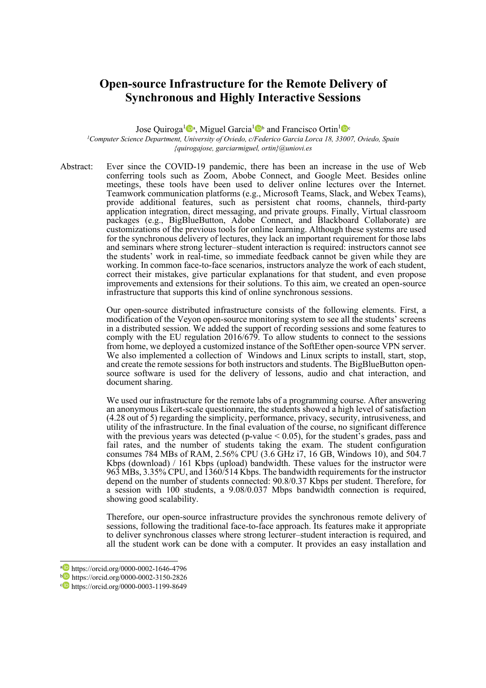## **Open-source Infrastructure for the Remote Delivery of Synchronous and Highly Interactive Sessions**

Jose Quiroga<sup>1</sup><sup>0</sup>ª, Miguel Garcia<sup>1</sup><sup>D</sup> and Francisco Ortin<sup>1</sup><sup>0</sup>

*1 Computer Science Department, University of Oviedo, c/Federico Garcia Lorca 18, 33007, Oviedo, Spain {quirogajose, garciarmiguel, ortin}@uniovi.es*

Abstract: Ever since the COVID-19 pandemic, there has been an increase in the use of Web conferring tools such as Zoom, Abobe Connect, and Google Meet. Besides online meetings, these tools have been used to deliver online lectures over the Internet. Teamwork communication platforms (e.g., Microsoft Teams, Slack, and Webex Teams), provide additional features, such as persistent chat rooms, channels, third-party application integration, direct messaging, and private groups. Finally, Virtual classroom packages (e.g., BigBlueButton, Adobe Connect, and Blackboard Collaborate) are customizations of the previous tools for online learning. Although these systems are used for the synchronous delivery of lectures, they lack an important requirement for those labs and seminars where strong lecturer–student interaction is required: instructors cannot see the students' work in real-time, so immediate feedback cannot be given while they are working. In common face-to-face scenarios, instructors analyze the work of each student, correct their mistakes, give particular explanations for that student, and even propose improvements and extensions for their solutions. To this aim, we created an open-source infrastructure that supports this kind of online synchronous sessions.

> Our open-source distributed infrastructure consists of the following elements. First, a modification of the Veyon open-source monitoring system to see all the students' screens in a distributed session. We added the support of recording sessions and some features to comply with the EU regulation 2016/679. To allow students to connect to the sessions from home, we deployed a customized instance of the SoftEther open-source VPN server. We also implemented a collection of Windows and Linux scripts to install, start, stop, and create the remote sessions for both instructors and students. The BigBlueButton opensource software is used for the delivery of lessons, audio and chat interaction, and document sharing.

> We used our infrastructure for the remote labs of a programming course. After answering an anonymous Likert-scale questionnaire, the students showed a high level of satisfaction (4.28 out of 5) regarding the simplicity, performance, privacy, security, intrusiveness, and utility of the infrastructure. In the final evaluation of the course, no significant difference with the previous years was detected (p-value  $< 0.05$ ), for the student's grades, pass and fail rates, and the number of students taking the exam. The student configuration consumes 784 MBs of RAM, 2.56% CPU (3.6 GHz i7, 16 GB, Windows 10), and 504.7 Kbps (download) / 161 Kbps (upload) bandwidth. These values for the instructor were 963 MBs, 3.35% CPU, and 1360/514 Kbps. The bandwidth requirements for the instructor depend on the number of students connected: 90.8/0.37 Kbps per student. Therefore, for a session with 100 students, a 9.08/0.037 Mbps bandwidth connection is required, showing good scalability.

> Therefore, our open-source infrastructure provides the synchronous remote delivery of sessions, following the traditional face-to-face approach. Its features make it appropriate to deliver synchronous classes where strong lecturer–student interaction is required, and all the student work can be done with a computer. It provides an easy installation and

<sup>a</sup> https://orcid.org/0000-0002-1646-4796

<sup>b</sup> https://orcid.org/0000-0002-3150-2826

c<sup>o</sup> https://orcid.org/0000-0003-1199-8649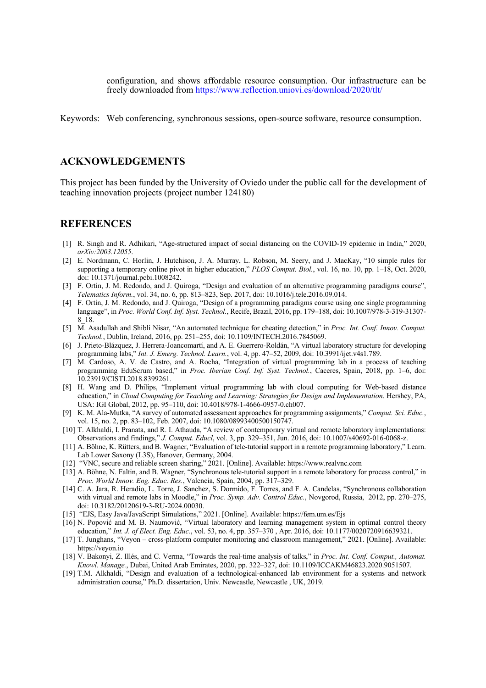configuration, and shows affordable resource consumption. Our infrastructure can be freely downloaded from https://www.reflection.uniovi.es/download/2020/tlt/

Keywords: Web conferencing, synchronous sessions, open-source software, resource consumption.

## **ACKNOWLEDGEMENTS**

This project has been funded by the University of Oviedo under the public call for the development of teaching innovation projects (project number 124180)

## **REFERENCES**

- [1] R. Singh and R. Adhikari, "Age-structured impact of social distancing on the COVID-19 epidemic in India," 2020, *arXiv:2003.12055*.
- [2] E. Nordmann, C. Horlin, J. Hutchison, J. A. Murray, L. Robson, M. Seery, and J. MacKay, "10 simple rules for supporting a temporary online pivot in higher education," *PLOS Comput. Biol.*, vol. 16, no. 10, pp. 1–18, Oct. 2020, doi: 10.1371/journal.pcbi.1008242.
- [3] F. Ortin, J. M. Redondo, and J. Quiroga, "Design and evaluation of an alternative programming paradigms course", *Telematics Inform.*, vol. 34, no. 6, pp. 813–823, Sep. 2017, doi: 10.1016/j.tele.2016.09.014.
- [4] F. Ortin, J. M. Redondo, and J. Quiroga, "Design of a programming paradigms course using one single programming language", in *Proc. World Conf. Inf. Syst. Technol.*, Recife, Brazil, 2016, pp. 179–188, doi: 10.1007/978-3-319-31307- 8\_18.
- [5] M. Asadullah and Shibli Nisar, "An automated technique for cheating detection," in *Proc. Int. Conf. Innov. Comput. Technol.*, Dublin, Ireland, 2016, pp. 251–255, doi: 10.1109/INTECH.2016.7845069.
- [6] J. Prieto-Blázquez, J. Herrera-Joancomartí, and A. E. Guerrero-Roldán, "A virtual laboratory structure for developing programming labs," *Int. J. Emerg. Technol. Learn.*, vol. 4, pp. 47–52, 2009, doi: 10.3991/ijet.v4s1.789.
- [7] M. Cardoso, A. V. de Castro, and A. Rocha, "Integration of virtual programming lab in a process of teaching programming EduScrum based," in *Proc. Iberian Conf. Inf. Syst. Technol.*, Caceres, Spain, 2018, pp. 1–6, doi: 10.23919/CISTI.2018.8399261.
- [8] H. Wang and D. Philips, "Implement virtual programming lab with cloud computing for Web-based distance education," in *Cloud Computing for Teaching and Learning: Strategies for Design and Implementation*. Hershey, PA, USA: IGI Global, 2012, pp. 95–110, doi: 10.4018/978-1-4666-0957-0.ch007.
- [9] K. M. Ala-Mutka, "A survey of automated assessment approaches for programming assignments," *Comput. Sci. Educ.*, vol. 15, no. 2, pp. 83–102, Feb. 2007, doi: 10.1080/08993400500150747.
- [10] T. Alkhaldi, I. Pranata, and R. I. Athauda, "A review of contemporary virtual and remote laboratory implementations: Observations and findings," *J. Comput. Educl*, vol. 3, pp. 329–351, Jun. 2016, doi: 10.1007/s40692-016-0068-z.
- [11] A. Böhne, K. Rütters, and B. Wagner, "Evaluation of tele-tutorial support in a remote programming laboratory," Learn. Lab Lower Saxony (L3S), Hanover, Germany, 2004.
- [12] "VNC, secure and reliable screen sharing," 2021. [Online]. Available: https://www.realvnc.com
- [13] A. Böhne, N. Faltin, and B. Wagner, "Synchronous tele-tutorial support in a remote laboratory for process control," in *Proc. World Innov. Eng. Educ. Res.*, Valencia, Spain, 2004, pp. 317–329.
- [14] C. A. Jara, R. Heradio, L. Torre, J. Sanchez, S. Dormido, F. Torres, and F. A. Candelas, "Synchronous collaboration with virtual and remote labs in Moodle," in *Proc. Symp. Adv. Control Educ.*, Novgorod, Russia, 2012, pp. 270–275, doi: 10.3182/20120619-3-RU-2024.00030.
- [15] "EJS, Easy Java/JavaScript Simulations," 2021. [Online]. Available: https://fem.um.es/Ejs
- [16] N. Popović and M. B. Naumović, "Virtual laboratory and learning management system in optimal control theory education," *Int. J. of Elect. Eng. Educ.*, vol. 53, no. 4, pp. 357–370 , Apr. 2016, doi: 10.1177/0020720916639321.
- [17] T. Junghans, "Veyon cross-platform computer monitoring and classroom management," 2021. [Online]. Available: https://veyon.io
- [18] V. Bakonyi, Z. Illés, and C. Verma, "Towards the real-time analysis of talks," in *Proc. Int. Conf. Comput., Automat. Knowl. Manage.*, Dubai, United Arab Emirates, 2020, pp. 322–327, doi: 10.1109/ICCAKM46823.2020.9051507.
- [19] T.M. Alkhaldi, "Design and evaluation of a technological-enhanced lab environment for a systems and network administration course," Ph.D. dissertation, Univ. Newcastle, Newcastle , UK, 2019.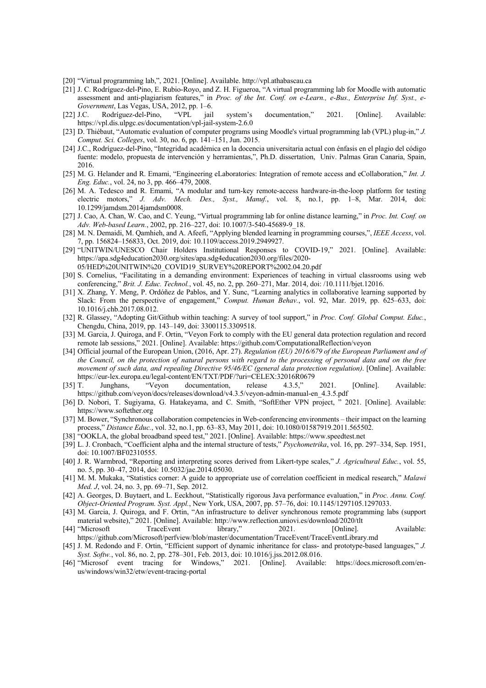- [20] "Virtual programming lab,", 2021. [Online]. Available. http://vpl.athabascau.ca
- [21] J. C. Rodríguez-del-Pino, E. Rubio-Royo, and Z. H. Figueroa, "A virtual programming lab for Moodle with automatic assessment and anti-plagiarism features," in *Proc. of the Int. Conf. on e-Learn., e-Bus., Enterprise Inf. Syst., e-Government*, Las Vegas, USA, 2012, pp. 1–6.
- [22] J.C. Rodríguez-del-Pino, "VPL jail system's documentation," 2021. [Online]. Available: https://vpl.dis.ulpgc.es/documentation/vpl-jail-system-2.6.0
- [23] D. Thiébaut, "Automatic evaluation of computer programs using Moodle's virtual programming lab (VPL) plug-in," *J. Comput. Sci. Colleges*, vol. 30, no. 6, pp. 141–151, Jun. 2015.
- [24] J.C., Rodríguez-del-Pino, "Integridad académica en la docencia universitaria actual con énfasis en el plagio del código fuente: modelo, propuesta de intervención y herramientas,", Ph.D. dissertation, Univ. Palmas Gran Canaria, Spain, 2016.
- [25] M. G. Helander and R. Emami, "Engineering eLaboratories: Integration of remote access and eCollaboration," *Int. J. Eng. Educ.*, vol. 24, no 3, pp. 466–479, 2008.
- [26] M. A. Tedesco and R. Emami, "A modular and turn-key remote-access hardware-in-the-loop platform for testing electric motors," *J. Adv. Mech. Des., Syst., Manuf.*, vol. 8, no.1, pp. 1–8, Mar. 2014, doi: 10.1299/jamdsm.2014jamdsm0008.
- [27] J. Cao, A. Chan, W. Cao, and C. Yeung, "Virtual programming lab for online distance learning," in *Proc. Int. Conf. on Adv. Web-based Learn.*, 2002, pp. 216–227, doi: 10.1007/3-540-45689-9\_18.
- [28] M. N. Demaidi, M. Qamhieh, and A. Afeefi, "Applying blended learning in programming courses,", *IEEE Access*, vol. 7, pp. 156824–156833, Oct. 2019, doi: 10.1109/access.2019.2949927.
- [29] "UNITWIN/UNESCO Chair Holders Institutional Responses to COVID-19," 2021. [Online]. Available: https://apa.sdg4education2030.org/sites/apa.sdg4education2030.org/files/2020- 05/HED%20UNITWIN%20\_COVID19\_SURVEY%20REPORT%2002.04.20.pdf
- [30] S. Cornelius, "Facilitating in a demanding environment: Experiences of teaching in virtual classrooms using web conferencing," *Brit. J. Educ. Technol.*, vol. 45, no. 2, pp. 260–271, Mar. 2014, doi: /10.1111/bjet.12016.
- [31] X. Zhang, Y. Meng, P. Ordóñez de Pablos, and Y. Sunc, "Learning analytics in collaborative learning supported by Slack: From the perspective of engagement," *Comput. Human Behav.*, vol. 92, Mar. 2019, pp. 625–633, doi: 10.1016/j.chb.2017.08.012.
- [32] R. Glassey, "Adopting Git/Github within teaching: A survey of tool support," in *Proc. Conf. Global Comput. Educ.*, Chengdu, China, 2019, pp. 143–149, doi: 3300115.3309518.
- [33] M. Garcia, J. Quiroga, and F. Ortin, "Veyon Fork to comply with the EU general data protection regulation and record remote lab sessions," 2021. [Online]. Available: https://github.com/ComputationalReflection/veyon
- [34] Official journal of the European Union, (2016, Apr. 27). *Regulation (EU) 2016/679 of the European Parliament and of the Council, on the protection of natural persons with regard to the processing of personal data and on the free movement of such data, and repealing Directive 95/46/EC (general data protection regulation)*. [Online]. Available: https://eur-lex.europa.eu/legal-content/EN/TXT/PDF/?uri=CELEX:32016R0679
- [35] T. Junghans, "Veyon documentation, release 4.3.5," 2021. [Online]. Available: https://github.com/veyon/docs/releases/download/v4.3.5/veyon-admin-manual-en\_4.3.5.pdf
- [36] D. Nobori, T. Sugiyama, G. Hatakeyama, and C. Smith, "SoftEther VPN project, " 2021. [Online]. Available: https://www.softether.org
- [37] M. Bower, "Synchronous collaboration competencies in Web-conferencing environments their impact on the learning process," *Distance Educ.*, vol. 32, no.1, pp. 63–83, May 2011, doi: 10.1080/01587919.2011.565502.
- [38] "OOKLA, the global broadband speed test," 2021. [Online]. Available: https://www.speedtest.net
- [39] L. J. Cronbach, "Coefficient alpha and the internal structure of tests," *Psychometrika*, vol. 16, pp. 297–334, Sep. 1951, doi: 10.1007/BF02310555.
- [40] J. R. Warmbrod, "Reporting and interpreting scores derived from Likert-type scales," *J. Agricultural Educ.*, vol. 55, no. 5, pp. 30–47, 2014, doi: 10.5032/jae.2014.05030.
- [41] M. M. Mukaka, "Statistics corner: A guide to appropriate use of correlation coefficient in medical research," *Malawi Med. J*, vol. 24, no. 3, pp. 69–71, Sep. 2012.
- [42] A. Georges, D. Buytaert, and L. Eeckhout, "Statistically rigorous Java performance evaluation," in *Proc. Annu. Conf. Object-Oriented Program. Syst. Appl.*, New York, USA, 2007, pp. 57–76, doi: 10.1145/1297105.1297033.
- [43] M. Garcia, J. Quiroga, and F. Ortin, "An infrastructure to deliver synchronous remote programming labs (support material website)," 2021. [Online]. Available: http://www.reflection.uniovi.es/download/2020/tlt
- [44] "Microsoft TraceEvent library," 2021. [Online]. Available: https://github.com/Microsoft/perfview/blob/master/documentation/TraceEvent/TraceEventLibrary.md
- [45] J. M. Redondo and F. Ortin, "Efficient support of dynamic inheritance for class- and prototype-based languages," *J. Syst. Softw.*, vol. 86, no. 2, pp. 278–301, Feb. 2013, doi: 10.1016/j.jss.2012.08.016.
- [46] "Microsof event tracing for Windows," 2021. [Online]. Available: https://docs.microsoft.com/enus/windows/win32/etw/event-tracing-portal